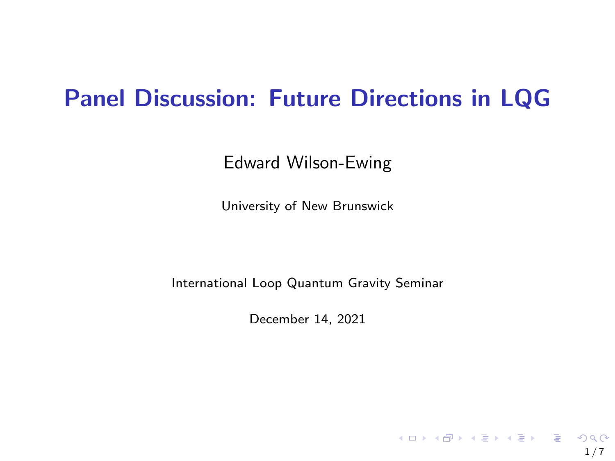## Panel Discussion: Future Directions in LQG

Edward Wilson-Ewing

University of New Brunswick

International Loop Quantum Gravity Seminar

December 14, 2021

 $1/7$ 

KOX KORKA EX KEX LE YORO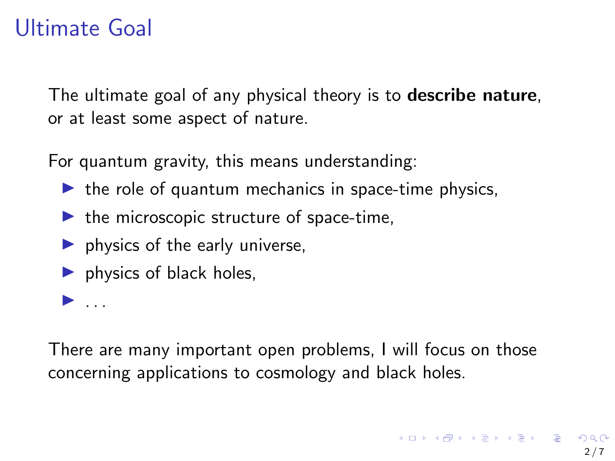## <span id="page-1-0"></span>Ultimate Goal

 $\blacktriangleright$  ...

The ultimate goal of any physical theory is to **describe nature**. or at least some aspect of nature.

For quantum gravity, this means understanding:

- $\blacktriangleright$  the role of quantum mechanics in space-time physics,
- $\blacktriangleright$  the microscopic structure of space-time,
- $\blacktriangleright$  physics of the early universe,
- $\blacktriangleright$  physics of black holes,

There are many important open problems, I will focus on those concerning applications to cosmology and black holes.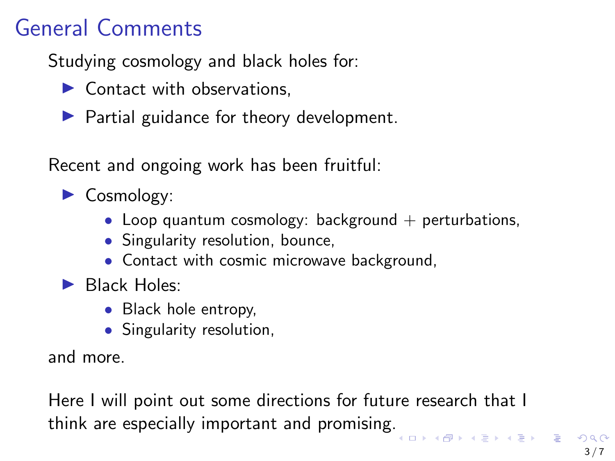# General Comments

Studying cosmology and black holes for:

- $\triangleright$  Contact with observations.
- $\blacktriangleright$  Partial guidance for theory development.

Recent and ongoing work has been fruitful:

- $\blacktriangleright$  Cosmology:
	- Loop quantum cosmology: background  $+$  perturbations,
	- Singularity resolution, bounce,
	- Contact with cosmic microwave background,
- $\blacktriangleright$  Black Holes:
	- Black hole entropy,
	- Singularity resolution,

and more.

Here I will point out some directions for future research that I think are especially important and promising[.](#page-1-0)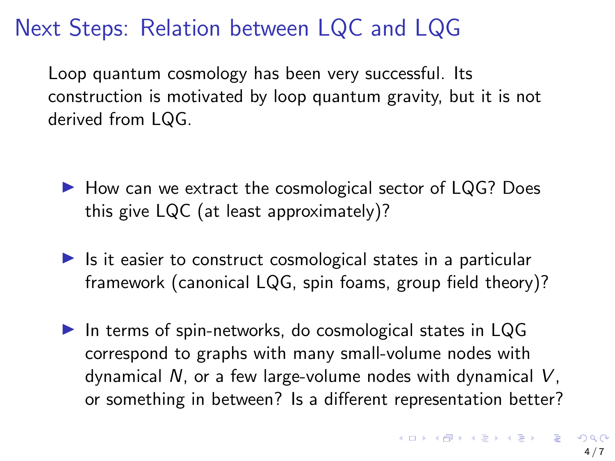# Next Steps: Relation between LQC and LQG

Loop quantum cosmology has been very successful. Its construction is motivated by loop quantum gravity, but it is not derived from LQG.

- $\blacktriangleright$  How can we extract the cosmological sector of LQG? Does this give LQC (at least approximately)?
- $\blacktriangleright$  Is it easier to construct cosmological states in a particular framework (canonical LQG, spin foams, group field theory)?
- In terms of spin-networks, do cosmological states in  $LQG$ correspond to graphs with many small-volume nodes with dynamical N, or a few large-volume nodes with dynamical V, or something in between? Is a different representation better?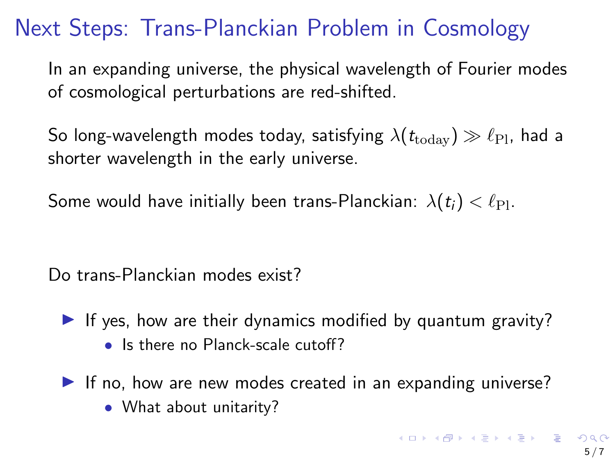## Next Steps: Trans-Planckian Problem in Cosmology

In an expanding universe, the physical wavelength of Fourier modes of cosmological perturbations are red-shifted.

So long-wavelength modes today, satisfying  $\lambda(t_{\text{today}}) \gg \ell_{\text{Pl}}$ , had a shorter wavelength in the early universe.

Some would have initially been trans-Planckian:  $\lambda(t_i) < \ell_{\text{Pl}}$ .

Do trans-Planckian modes exist?

- If yes, how are their dynamics modified by quantum gravity? • Is there no Planck-scale cutoff?
- If no, how are new modes created in an expanding universe? • What about unitarity?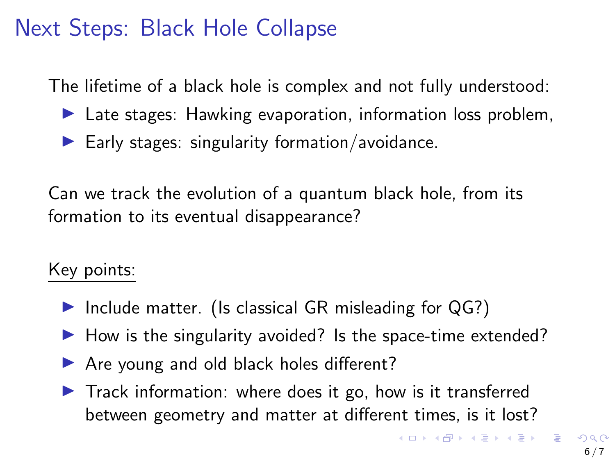### Next Steps: Black Hole Collapse

The lifetime of a black hole is complex and not fully understood:

- $\blacktriangleright$  Late stages: Hawking evaporation, information loss problem,
- $\blacktriangleright$  Early stages: singularity formation/avoidance.

Can we track the evolution of a quantum black hole, from its formation to its eventual disappearance?

#### Key points:

- Include matter. (Is classical GR misleading for  $QG$ ?)
- $\blacktriangleright$  How is the singularity avoided? Is the space-time extended?
- ▶ Are young and old black holes different?
- $\blacktriangleright$  Track information: where does it go, how is it transferred between geometry and matter at different times, is it lost?

 $\qquad \qquad \exists \quad \mathbf{1} \in \mathbb{R} \; \; \forall \; \mathbf{1} \in \mathbb{R} \; \; \forall \; \mathbf{1} \in \mathbb{R} \; \forall \; \mathbf{1} \in \mathbb{R} \; \forall \; \mathbf{1} \in \mathbb{R} \; \forall \; \mathbf{1} \in \mathbb{R} \; \forall \; \mathbf{1} \in \mathbb{R} \; \forall \; \mathbf{1} \in \mathbb{R} \; \forall \; \mathbf{1} \in \mathbb{R} \; \forall \; \mathbf{1} \in \mathbb{R} \; \forall \; \mathbf{1}$